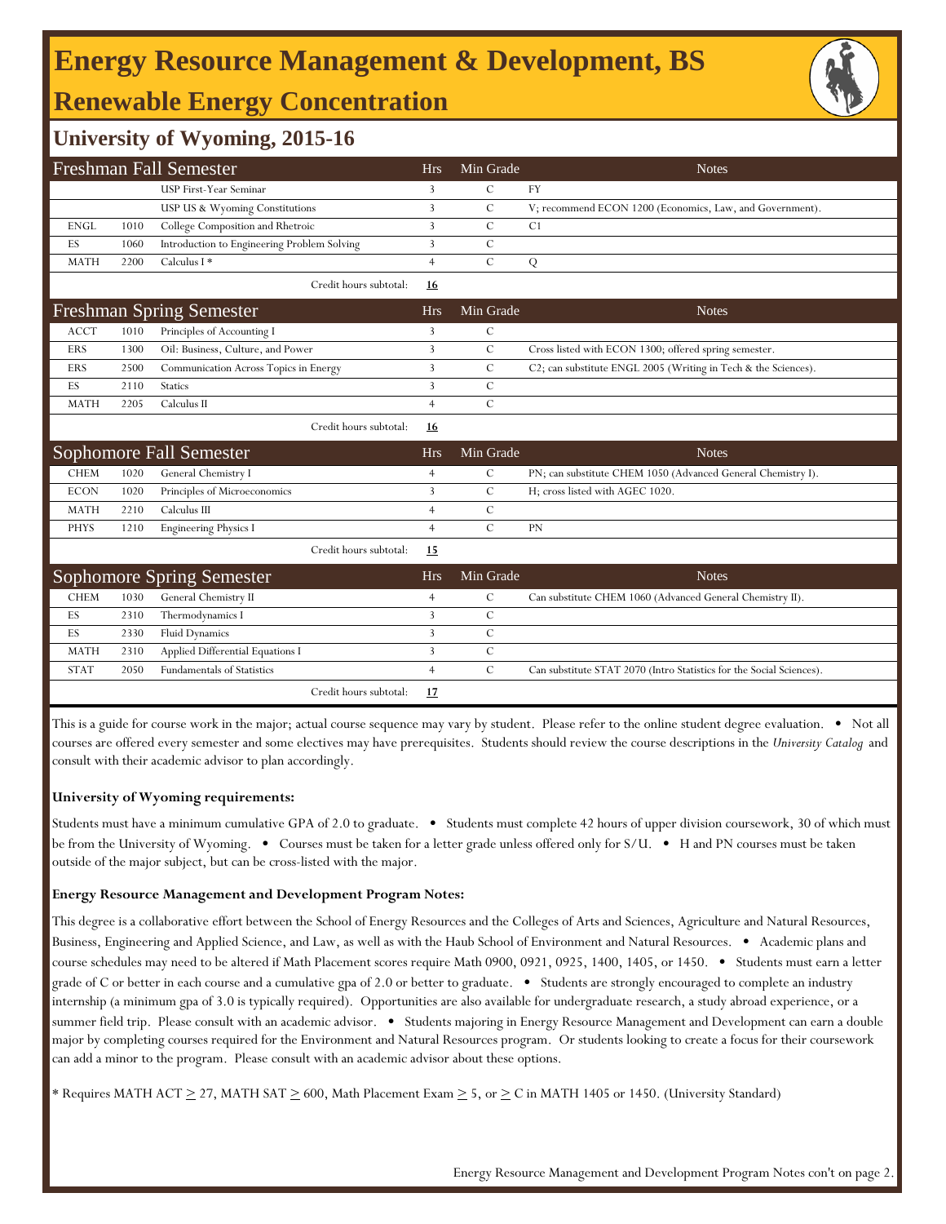## **Energy Resource Management & Development, BS Renewable Energy Concentration**

## **University of Wyoming, 2015-16**

| Freshman Fall Semester |      |                                             |                | Min Grade     | <b>Notes</b>                                                         |
|------------------------|------|---------------------------------------------|----------------|---------------|----------------------------------------------------------------------|
|                        |      | USP First-Year Seminar                      | 3              | $\mathcal{C}$ | <b>FY</b>                                                            |
|                        |      | USP US & Wyoming Constitutions              | 3              | $\mathcal{C}$ | V; recommend ECON 1200 (Economics, Law, and Government).             |
| <b>ENGL</b>            | 1010 | College Composition and Rhetroic            | $\overline{3}$ | $\mathcal{C}$ | C1                                                                   |
| ES                     | 1060 | Introduction to Engineering Problem Solving | 3              | $\mathbf C$   |                                                                      |
| <b>MATH</b>            | 2200 | Calculus I *                                | $\overline{4}$ | $\mathbf C$   | Q                                                                    |
|                        |      | Credit hours subtotal:                      | 16             |               |                                                                      |
|                        |      | <b>Freshman Spring Semester</b>             | <b>Hrs</b>     | Min Grade     | <b>Notes</b>                                                         |
| <b>ACCT</b>            | 1010 | Principles of Accounting I                  | 3              | $\mathcal{C}$ |                                                                      |
| <b>ERS</b>             | 1300 | Oil: Business, Culture, and Power           | 3              | $\mathcal{C}$ | Cross listed with ECON 1300; offered spring semester.                |
| ERS                    | 2500 | Communication Across Topics in Energy       | $\overline{3}$ | $\mathcal{C}$ | C2; can substitute ENGL 2005 (Writing in Tech & the Sciences).       |
| ES                     | 2110 | <b>Statics</b>                              | 3              | $\mathbf C$   |                                                                      |
| <b>MATH</b>            | 2205 | Calculus II                                 | $\overline{4}$ | $\mathcal{C}$ |                                                                      |
|                        |      | Credit hours subtotal:                      | 16             |               |                                                                      |
|                        |      | Sophomore Fall Semester                     | <b>Hrs</b>     | Min Grade     | <b>Notes</b>                                                         |
| <b>CHEM</b>            | 1020 | General Chemistry I                         | $\overline{4}$ | $\mathcal{C}$ | PN; can substitute CHEM 1050 (Advanced General Chemistry I).         |
| <b>ECON</b>            | 1020 | Principles of Microeconomics                | 3              | $\mathcal{C}$ | H; cross listed with AGEC 1020.                                      |
| <b>MATH</b>            | 2210 | Calculus III                                | $\overline{4}$ | $\mathcal{C}$ |                                                                      |
| <b>PHYS</b>            | 1210 | <b>Engineering Physics I</b>                | $\overline{4}$ | $\mathcal{C}$ | PN                                                                   |
|                        |      | Credit hours subtotal:                      | 15             |               |                                                                      |
|                        |      | Sophomore Spring Semester                   | <b>Hrs</b>     | Min Grade     | <b>Notes</b>                                                         |
| <b>CHEM</b>            | 1030 | General Chemistry II                        | $\overline{4}$ | $\mathcal{C}$ | Can substitute CHEM 1060 (Advanced General Chemistry II).            |
| ES                     | 2310 | Thermodynamics I                            | $\overline{3}$ | $\mathbf C$   |                                                                      |
| ES                     | 2330 | Fluid Dynamics                              | 3              | $\mathbf C$   |                                                                      |
| <b>MATH</b>            | 2310 | Applied Differential Equations I            | $\overline{3}$ | $\mathbf C$   |                                                                      |
| <b>STAT</b>            | 2050 | <b>Fundamentals of Statistics</b>           | $\overline{4}$ | $\mathcal{C}$ | Can substitute STAT 2070 (Intro Statistics for the Social Sciences). |
|                        |      | Credit hours subtotal:                      | 17             |               |                                                                      |

This is a guide for course work in the major; actual course sequence may vary by student. Please refer to the online student degree evaluation. • Not all courses are offered every semester and some electives may have prerequisites. Students should review the course descriptions in the *University Catalog* and consult with their academic advisor to plan accordingly.

### **University of Wyoming requirements:**

Students must have a minimum cumulative GPA of 2.0 to graduate. • Students must complete 42 hours of upper division coursework, 30 of which must be from the University of Wyoming. • Courses must be taken for a letter grade unless offered only for S/U. • H and PN courses must be taken outside of the major subject, but can be cross-listed with the major.

### **Energy Resource Management and Development Program Notes:**

This degree is a collaborative effort between the School of Energy Resources and the Colleges of Arts and Sciences, Agriculture and Natural Resources, Business, Engineering and Applied Science, and Law, as well as with the Haub School of Environment and Natural Resources. • Academic plans and course schedules may need to be altered if Math Placement scores require Math 0900, 0921, 0925, 1400, 1405, or 1450. • Students must earn a letter grade of C or better in each course and a cumulative gpa of 2.0 or better to graduate. • Students are strongly encouraged to complete an industry internship (a minimum gpa of 3.0 is typically required). Opportunities are also available for undergraduate research, a study abroad experience, or a summer field trip. Please consult with an academic advisor. • Students majoring in Energy Resource Management and Development can earn a double major by completing courses required for the Environment and Natural Resources program. Or students looking to create a focus for their coursework can add a minor to the program. Please consult with an academic advisor about these options.

\* Requires MATH ACT  $\geq$  27, MATH SAT  $\geq$  600, Math Placement Exam  $\geq$  5, or  $\geq$  C in MATH 1405 or 1450. (University Standard)